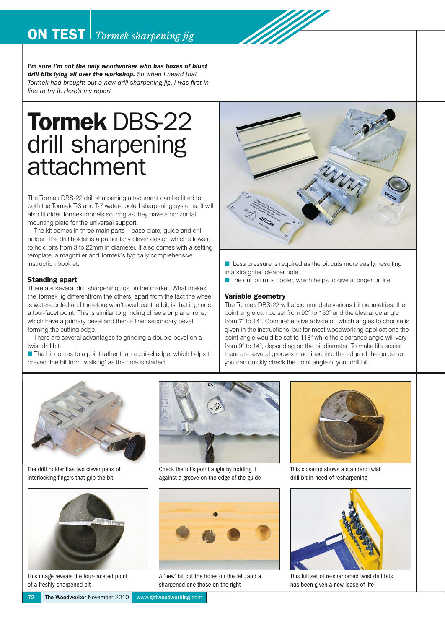

*I'm sure I'm not the only woodworker who has boxes of blunt drill bits lying all over the workshop. So when I heard that Tormek had brought out a new drill sharpening jig, I was first in line to try it. Here's my report*

# Tormek DBS-22 drill sharpening attachment

The Tormek DBS-22 drill sharpening attachment can be fitted to both the Tormek T-3 and T-7 water-cooled sharpening systems. It will also fit older Tormek models so long as they have a horizontal mounting plate for the universal support.

The kit comes in three main parts – base plate, guide and drill holder. The drill holder is a particularly clever design which allows it to hold bits from 3 to 22mm in diameter. It also comes with a setting template, a magnifi er and Tormek's typically comprehensive instruction booklet.

#### Standing apart

There are several drill sharpening jigs on the market. What makes the Tormek jig differentfrom the others, apart from the fact the wheel is water-cooled and therefore won't overheat the bit, is that it grinds a four-facet point. This is similar to grinding chisels or plane irons, which have a primary bevel and then a finer secondary bevel forming the cutting edge.

There are several advantages to grinding a double bevel on a twist drill bit.

 $\blacksquare$  The bit comes to a point rather than a chisel edge, which helps to prevent the bit from 'walking' as the hole is started.



- Less pressure is required as the bit cuts more easily, resulting in a straighter, cleaner hole.
- $\blacksquare$  The drill bit runs cooler, which helps to give a longer bit life.

#### Variable geometry

The Tormek DBS-22 will accommodate various bit geometries; the point angle can be set from 90° to 150° and the clearance angle from 7° to 14°. Comprehensive advice on which angles to choose is given in the instructions, but for most woodworking applications the point angle would be set to 118° while the clearance angle will vary from 9° to 14°, depending on the bit diameter. To make life easier, there are several grooves machined into the edge of the guide so you can quickly check the point angle of your drill bit.



The drill holder has two clever pairs of interlocking fingers that grip the bit



This image reveals the four-faceted point of a freshly-sharpened bit



Check the bit's point angle by holding it against a groove on the edge of the guide



A 'new' bit cut the holes on the left, and a sharpened one those on the right



This close-up shows a standard twist drill bit in need of resharpening



This full set of re-sharpened twist drill bits has been given a new lease of life